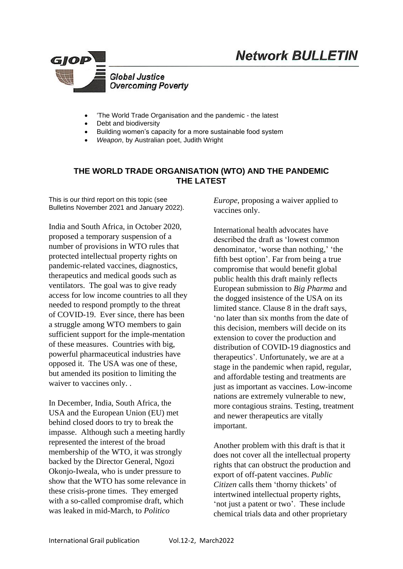

- 'The World Trade Organisation and the pandemic the latest
- Debt and biodiversity
- Building women's capacity for a more sustainable food system
- *Weapon*, by Australian poet, Judith Wright

# **THE WORLD TRADE ORGANISATION (WTO) AND THE PANDEMIC THE LATEST**

This is our third report on this topic (see Bulletins November 2021 and January 2022).

India and South Africa, in October 2020, proposed a temporary suspension of a number of provisions in WTO rules that protected intellectual property rights on pandemic-related vaccines, diagnostics, therapeutics and medical goods such as ventilators. The goal was to give ready access for low income countries to all they needed to respond promptly to the threat of COVID-19. Ever since, there has been a struggle among WTO members to gain sufficient support for the imple-mentation of these measures. Countries with big, powerful pharmaceutical industries have opposed it. The USA was one of these, but amended its position to limiting the waiver to vaccines only. .

In December, India, South Africa, the USA and the European Union (EU) met behind closed doors to try to break the impasse. Although such a meeting hardly represented the interest of the broad membership of the WTO, it was strongly backed by the Director General, Ngozi Okonjo-Iweala, who is under pressure to show that the WTO has some relevance in these crisis-prone times. They emerged with a so-called compromise draft, which was leaked in mid-March, to *Politico* 

*Europe,* proposing a waiver applied to vaccines only.

**Network BULLETIN** 

International health advocates have described the draft as 'lowest common denominator, 'worse than nothing,' 'the fifth best option'. Far from being a true compromise that would benefit global public health this draft mainly reflects European submission to *Big Pharma* and the dogged insistence of the USA on its limited stance. Clause 8 in the draft says, 'no later than six months from the date of this decision, members will decide on its extension to cover the production and distribution of COVID-19 diagnostics and therapeutics'. Unfortunately, we are at a stage in the pandemic when rapid, regular, and affordable testing and treatments are just as important as vaccines. Low-income nations are extremely vulnerable to new, more contagious strains. Testing, treatment and newer therapeutics are vitally important.

Another problem with this draft is that it does not cover all the intellectual property rights that can obstruct the production and export of off-patent vaccines. *Public Citizen* calls them 'thorny thickets' of intertwined intellectual property rights, 'not just a patent or two'. These include chemical trials data and other proprietary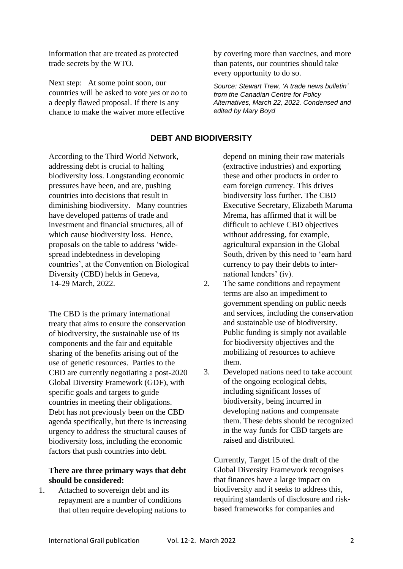information that are treated as protected trade secrets by the WTO.

Next step: At some point soon, our countries will be asked to vote *yes* or *no* to a deeply flawed proposal. If there is any chance to make the waiver more effective

by covering more than vaccines, and more than patents, our countries should take every opportunity to do so.

*Source: Stewart Trew, 'A trade news bulletin' from the Canadian Centre for Policy Alternatives, March 22, 2022. Condensed and edited by Mary Boyd*

# **DEBT AND BIODIVERSITY**

According to the Third World Network, addressing debt is crucial to halting biodiversity loss. Longstanding economic pressures have been, and are, pushing countries into decisions that result in diminishing biodiversity. Many countries have developed patterns of trade and investment and financial structures, all of which cause biodiversity loss. Hence, proposals on the table to address '**wi**despread indebtedness in developing countries', at the Convention on Biological Diversity (CBD) helds in Geneva, 14-29 March, 2022.

The CBD is the primary international treaty that aims to ensure the conservation of biodiversity, the sustainable use of its components and the fair and equitable sharing of the benefits arising out of the use of genetic resources. Parties to the CBD are currently negotiating a post-2020 Global Diversity Framework (GDF), with specific goals and targets to guide countries in meeting their obligations. Debt has not previously been on the CBD agenda specifically, but there is increasing urgency to address the structural causes of biodiversity loss, including the economic factors that push countries into debt.

### **There are three primary ways that debt should be considered:**

1. Attached to sovereign debt and its repayment are a number of conditions that often require developing nations to depend on mining their raw materials (extractive industries) and exporting these and other products in order to earn foreign currency. This drives biodiversity loss further. The CBD Executive Secretary, Elizabeth Maruma Mrema, has affirmed that it will be difficult to achieve CBD objectives without addressing, for example, agricultural expansion in the Global South, driven by this need to 'earn hard currency to pay their debts to international lenders' (iv).

- 2. The same conditions and repayment terms are also an impediment to government spending on public needs and services, including the conservation and sustainable use of biodiversity. Public funding is simply not available for biodiversity objectives and the mobilizing of resources to achieve them.
- 3. Developed nations need to take account of the ongoing ecological debts, including significant losses of biodiversity, being incurred in developing nations and compensate them. These debts should be recognized in the way funds for CBD targets are raised and distributed.

Currently, Target 15 of the draft of the Global Diversity Framework recognises that finances have a large impact on biodiversity and it seeks to address this, requiring standards of disclosure and riskbased frameworks for companies and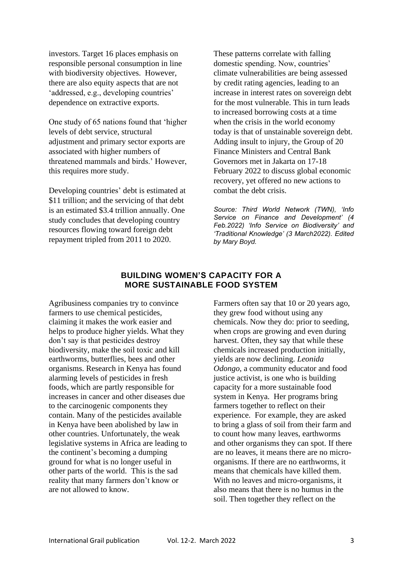investors. Target 16 places emphasis on responsible personal consumption in line with biodiversity objectives. However, there are also equity aspects that are not 'addressed, e.g., developing countries' dependence on extractive exports.

One study of 65 nations found that 'higher levels of debt service, structural adjustment and primary sector exports are associated with higher numbers of threatened mammals and birds.' However, this requires more study.

Developing countries' debt is estimated at \$11 trillion; and the servicing of that debt is an estimated \$3.4 trillion annually. One study concludes that developing country resources flowing toward foreign debt repayment tripled from 2011 to 2020.

These patterns correlate with falling domestic spending. Now, countries' climate vulnerabilities are being assessed by credit rating agencies, leading to an increase in interest rates on sovereign debt for the most vulnerable. This in turn leads to increased borrowing costs at a time when the crisis in the world economy today is that of unstainable sovereign debt. Adding insult to injury, the Group of 20 Finance Ministers and Central Bank Governors met in Jakarta on 17-18 February 2022 to discuss global economic recovery, yet offered no new actions to combat the debt crisis.

*Source: Third World Network (TWN), 'Info Service on Finance and Development' (4 Feb.2022) 'Info Service on Biodiversity' and 'Traditional Knowledge' (3 March2022). Edited by Mary Boyd.* 

### **BUILDING WOMEN'S CAPACITY FOR A MORE SUSTAINABLE FOOD SYSTEM**

Agribusiness companies try to convince farmers to use chemical pesticides, claiming it makes the work easier and helps to produce higher yields. What they don't say is that pesticides destroy biodiversity, make the soil toxic and kill earthworms, butterflies, bees and other organisms. Research in Kenya has found alarming levels of pesticides in fresh foods, which are partly responsible for increases in cancer and other diseases due to the carcinogenic components they contain. Many of the pesticides available in Kenya have been abolished by law in other countries. Unfortunately, the weak legislative systems in Africa are leading to the continent's becoming a dumping ground for what is no longer useful in other parts of the world. This is the sad reality that many farmers don't know or are not allowed to know.

Farmers often say that 10 or 20 years ago, they grew food without using any chemicals. Now they do: prior to seeding, when crops are growing and even during harvest. Often, they say that while these chemicals increased production initially, yields are now declining. *Leonida Odongo*, a community educator and food justice activist, is one who is building capacity for a more sustainable food system in Kenya. Her programs bring farmers together to reflect on their experience. For example, they are asked to bring a glass of soil from their farm and to count how many leaves, earthworms and other organisms they can spot. If there are no leaves, it means there are no microorganisms. If there are no earthworms, it means that chemicals have killed them. With no leaves and micro-organisms, it also means that there is no humus in the soil. Then together they reflect on the